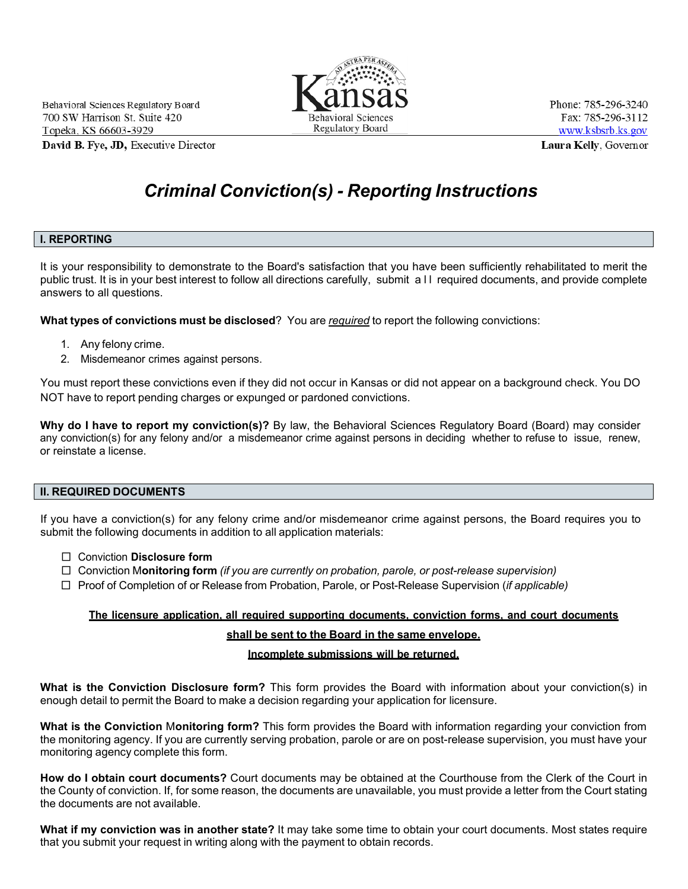

Phone: 785-296-3240 Fax: 785-296-3112 www.ksbsrb.ks.gov Laura Kelly, Governor

# *Criminal Conviction(s) - Reporting Instructions*

#### **I. REPORTING**

It is your responsibility to demonstrate to the Board's satisfaction that you have been sufficiently rehabilitated to merit the public trust. It is in your best interest to follow all directions carefully, submit a II required documents, and provide complete answers to all questions.

**What types of convictions must be disclosed**? You are *required* to report the following convictions:

- 1. Any felony crime.
- 2. Misdemeanor crimes against persons.

You must report these convictions even if they did not occur in Kansas or did not appear on a background check. You DO NOT have to report pending charges or expunged or pardoned convictions.

**Why do I have to report my conviction(s)?** By law, the Behavioral Sciences Regulatory Board (Board) may consider any conviction(s) for any felony and/or a misdemeanor crime against persons in deciding whether to refuse to issue, renew, or reinstate a license.

#### **II. REQUIRED DOCUMENTS**

If you have a conviction(s) for any felony crime and/or misdemeanor crime against persons, the Board requires you to submit the following documents in addition to all application materials:

- □ Conviction **Disclosure form**
- □ Conviction M**onitoring form** *(if you are currently on probation, parole, or post-release supervision)*
- □ Proof of Completion of or Release from Probation, Parole, or Post-Release Supervision (*if applicable)*

#### **The licensure application, all required supporting documents, conviction forms, and court documents**

#### **shall be sent to the Board in the same envelope.**

#### **Incomplete submissions will be returned.**

**What is the Conviction Disclosure form?** This form provides the Board with information about your conviction(s) in enough detail to permit the Board to make a decision regarding your application for licensure.

**What is the Conviction** M**onitoring form?** This form provides the Board with information regarding your conviction from the monitoring agency. If you are currently serving probation, parole or are on post-release supervision, you must have your monitoring agency complete this form.

**How do I obtain court documents?** Court documents may be obtained at the Courthouse from the Clerk of the Court in the County of conviction. If, for some reason, the documents are unavailable, you must provide a letter from the Court stating the documents are not available.

**What if my conviction was in another state?** It may take some time to obtain your court documents. Most states require that you submit your request in writing along with the payment to obtain records.

Behavioral Sciences Regulatory Board 700 SW Harrison St. Suite 420 Topeka, KS 66603-3929

David B. Fye, JD, Executive Director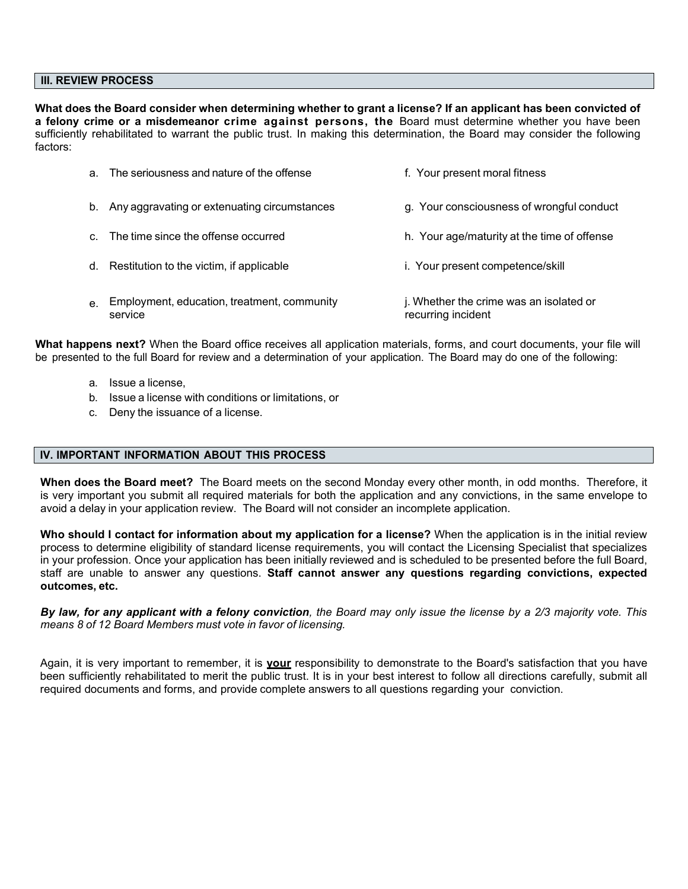#### **III. REVIEW PROCESS**

**What does the Board consider when determining whether to grant a license? If an applicant has been convicted of a felony crime or a misdemeanor crime against persons, the** Board must determine whether you have been sufficiently rehabilitated to warrant the public trust. In making this determination, the Board may consider the following factors:

| a.          | The seriousness and nature of the offense              | f. Your present moral fitness                                 |
|-------------|--------------------------------------------------------|---------------------------------------------------------------|
|             | b. Any aggravating or extenuating circumstances        | g. Your consciousness of wrongful conduct                     |
|             | c. The time since the offense occurred                 | h. Your age/maturity at the time of offense                   |
|             | d. Restitution to the victim, if applicable            | i. Your present competence/skill                              |
| $e_{\cdot}$ | Employment, education, treatment, community<br>service | j. Whether the crime was an isolated or<br>recurring incident |

**What happens next?** When the Board office receives all application materials, forms, and court documents, your file will be presented to the full Board for review and a determination of your application. The Board may do one of the following:

- a. Issue a license,
- b. Issue a license with conditions or limitations, or
- c. Deny the issuance of a license.

#### **IV. IMPORTANT INFORMATION ABOUT THIS PROCESS**

**When does the Board meet?** The Board meets on the second Monday every other month, in odd months. Therefore, it is very important you submit all required materials for both the application and any convictions, in the same envelope to avoid a delay in your application review. The Board will not consider an incomplete application.

**Who should I contact for information about my application for a license?** When the application is in the initial review process to determine eligibility of standard license requirements, you will contact the Licensing Specialist that specializes in your profession. Once your application has been initially reviewed and is scheduled to be presented before the full Board, staff are unable to answer any questions. **Staff cannot answer any questions regarding convictions, expected outcomes, etc.**

*By law, for any applicant with a felony conviction, the Board may only issue the license by a 2/3 majority vote. This means 8 of 12 Board Members must vote in favor of licensing.*

Again, it is very important to remember, it is **your** responsibility to demonstrate to the Board's satisfaction that you have been sufficiently rehabilitated to merit the public trust. It is in your best interest to follow all directions carefully, submit all required documents and forms, and provide complete answers to all questions regarding your conviction.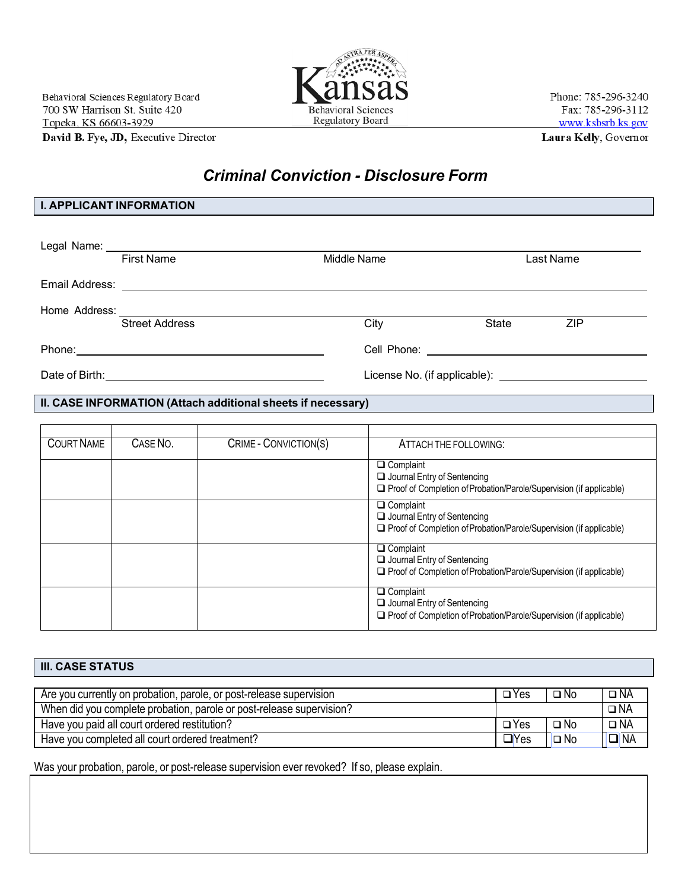David B. Fye, JD, Executive Director

# *Criminal Conviction - Disclosure Form*

# **I. APPLICANT INFORMATION**

| <b>First Name</b>     | Middle Name |                                                | Last Name |            |  |
|-----------------------|-------------|------------------------------------------------|-----------|------------|--|
|                       |             |                                                |           |            |  |
|                       |             |                                                |           |            |  |
| <b>Street Address</b> |             | City                                           | State     | <b>ZIP</b> |  |
|                       |             | Cell Phone: <u>___________________________</u> |           |            |  |
|                       |             |                                                |           |            |  |

**II. CASE INFORMATION (Attach additional sheets if necessary)**

| <b>COURT NAME</b> | CASE NO. | $\overline{\text{CRIME}}$ - CONVICTION(S) | ATTACH THE FOLLOWING:                                                                                                                |
|-------------------|----------|-------------------------------------------|--------------------------------------------------------------------------------------------------------------------------------------|
|                   |          |                                           | $\Box$ Complaint<br>Journal Entry of Sentencing                                                                                      |
|                   |          |                                           | $\Box$ Proof of Completion of Probation/Parole/Supervision (if applicable)                                                           |
|                   |          |                                           | $\Box$ Complaint<br>$\Box$ Journal Entry of Sentencing<br>$\Box$ Proof of Completion of Probation/Parole/Supervision (if applicable) |
|                   |          |                                           | $\Box$ Complaint<br>$\Box$ Journal Entry of Sentencing<br>$\Box$ Proof of Completion of Probation/Parole/Supervision (if applicable) |
|                   |          |                                           | $\Box$ Complaint<br>$\Box$ Journal Entry of Sentencing<br>$\Box$ Proof of Completion of Probation/Parole/Supervision (if applicable) |

| <b>III. CASE STATUS</b>                                              |               |              |              |
|----------------------------------------------------------------------|---------------|--------------|--------------|
|                                                                      |               |              |              |
| Are you currently on probation, parole, or post-release supervision  | $\square$ Yes | $\square$ No | $\square$ NA |
| When did you complete probation, parole or post-release supervision? |               |              | $\Box$ NA    |
| Have you paid all court ordered restitution?                         | $\square$ Yes | $\Box$ No    | $\square$ NA |
| Have you completed all court ordered treatment?                      | $\Box$ Yes    | $\Box$ No    | <b>ONA</b>   |

Was your probation, parole, or post-release supervision ever revoked? If so, please explain.



Phone: 785-296-3240 Fax: 785-296-3112 www.ksbsrb.ks.gov Laura Kelly, Governor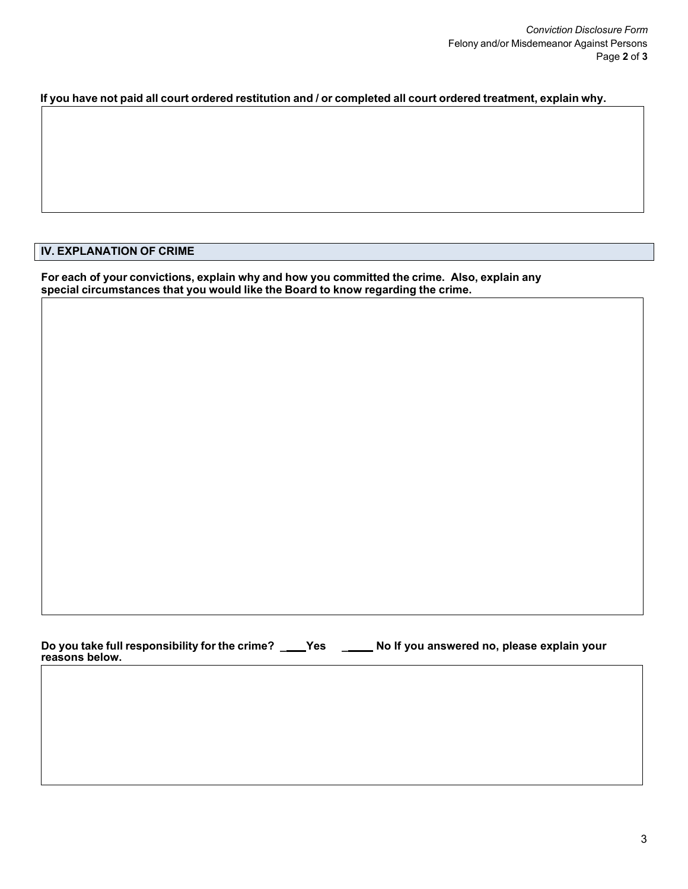### If you have not paid all court ordered restitution and / or completed all court ordered treatment, explain why.

# **IV. EXPLANATION OF CRIME**

**For each of your convictions, explain why and how you committed the crime. Also, explain any special circumstances that you would like the Board to know regarding the crime.**

**Do you take full responsibility for the crime? \_ Yes \_ \_ No If you answered no, please explain your reasons below.**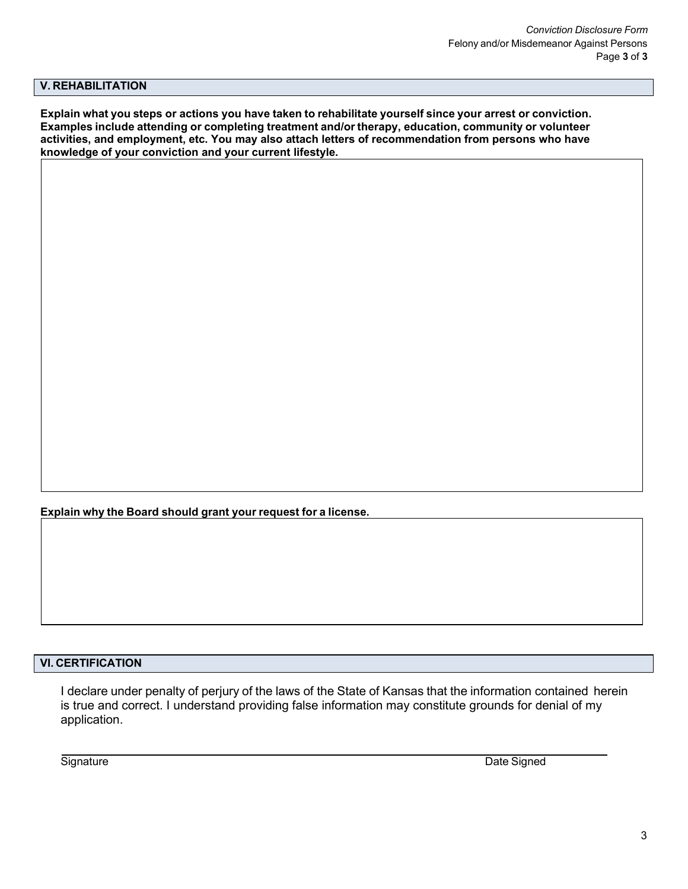# **V. REHABILITATION**

Explain what you steps or actions you have taken to rehabilitate yourself since your arrest or conviction. **Examples include attending or completing treatment and/or therapy, education, community or volunteer activities, and employment, etc. You may also attach letters of recommendation from persons who have knowledge of your conviction and your current lifestyle.**

**Explain why the Board should grant your request for a license.**

# **VI. CERTIFICATION**

I declare under penalty of perjury of the laws of the State of Kansas that the information contained herein is true and correct. I understand providing false information may constitute grounds for denial of my application.

**Signature** Date Signature **Date Signature Date Signature Date Signature Date Signature**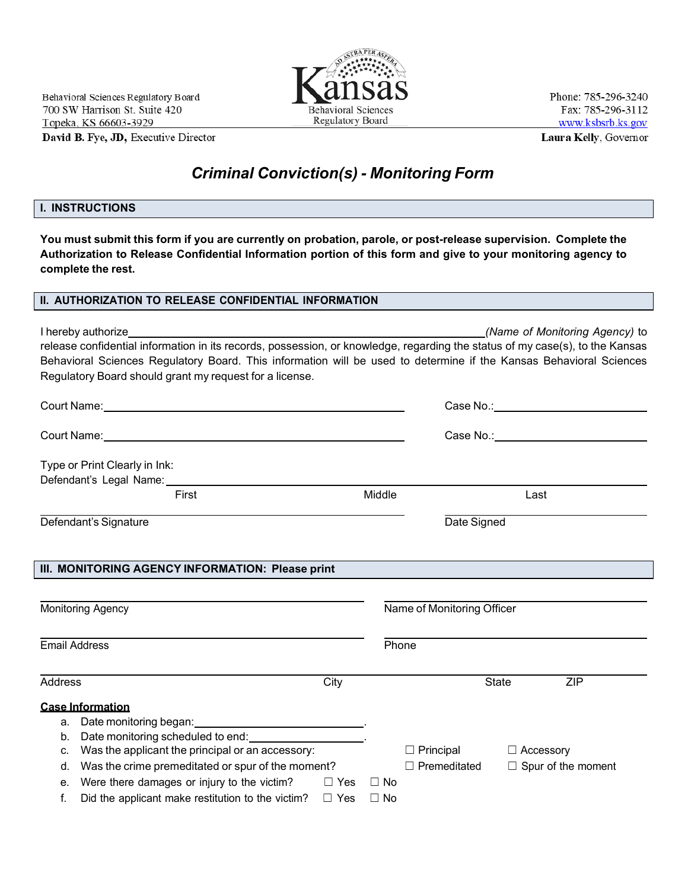David B. Fye, JD, Executive Director

# *Criminal Conviction(s) - Monitoring Form*

#### **I. INSTRUCTIONS**

 $\sqrt{2}$ 

You must submit this form if you are currently on probation, parole, or post-release supervision. Complete the **Authorization to Release Confidential Information portion of this form and give to your monitoring agency to complete the rest.**

# **II. AUTHORIZATION TO RELEASE CONFIDENTIAL INFORMATION**

I hereby authorize *(Name of Monitoring Agency)* to release confidential information in its records, possession, or knowledge, regarding the status of my case(s), to the Kansas Behavioral Sciences Regulatory Board. This information will be used to determine if the Kansas Behavioral Sciences Regulatory Board should grant my request for a license.

|                        |                                                                                                                 |  |                                           |                                                                                             | Case No.: ________________________________ |                           |  |
|------------------------|-----------------------------------------------------------------------------------------------------------------|--|-------------------------------------------|---------------------------------------------------------------------------------------------|--------------------------------------------|---------------------------|--|
|                        |                                                                                                                 |  | Case No.: _______________________________ |                                                                                             |                                            |                           |  |
|                        | Type or Print Clearly in Ink:                                                                                   |  |                                           |                                                                                             |                                            |                           |  |
|                        | Defendant's Legal Name: Name and the Contract of the Contract of the Contract of the Contract of the Contract o |  |                                           |                                                                                             |                                            |                           |  |
|                        | First                                                                                                           |  | Middle                                    |                                                                                             | Last                                       |                           |  |
|                        | Defendant's Signature                                                                                           |  | Date Signed                               |                                                                                             |                                            |                           |  |
|                        | III. MONITORING AGENCY INFORMATION: Please print<br>Monitoring Agency                                           |  |                                           | <u> 1989 - Johann Barn, mars an t-Amerikaansk kommunist (</u><br>Name of Monitoring Officer |                                            |                           |  |
| <b>Email Address</b>   |                                                                                                                 |  | Phone                                     |                                                                                             |                                            |                           |  |
| <b>Address</b><br>City |                                                                                                                 |  |                                           |                                                                                             | State                                      | <b>ZIP</b>                |  |
|                        | <b>Case Information</b>                                                                                         |  |                                           |                                                                                             |                                            |                           |  |
| а.                     | Date monitoring began: _________________________________.                                                       |  |                                           |                                                                                             |                                            |                           |  |
| b.                     | Date monitoring scheduled to end: ____________________.                                                         |  |                                           |                                                                                             |                                            |                           |  |
| c.                     | Was the applicant the principal or an accessory:                                                                |  |                                           | $\Box$ Principal                                                                            | $\Box$ Accessory                           |                           |  |
| d.                     | Was the crime premeditated or spur of the moment?                                                               |  |                                           | $\Box$ Premeditated                                                                         |                                            | $\Box$ Spur of the moment |  |
| е.                     | Were there damages or injury to the victim? $\square$ Yes $\square$ No                                          |  |                                           |                                                                                             |                                            |                           |  |
| f.                     | Did the applicant make restitution to the victim? $\Box$ Yes                                                    |  | $\Box$ No                                 |                                                                                             |                                            |                           |  |



Phone: 785-296-3240 Fax: 785-296-3112 www.ksbsrb.ks.gov Laura Kelly, Governor